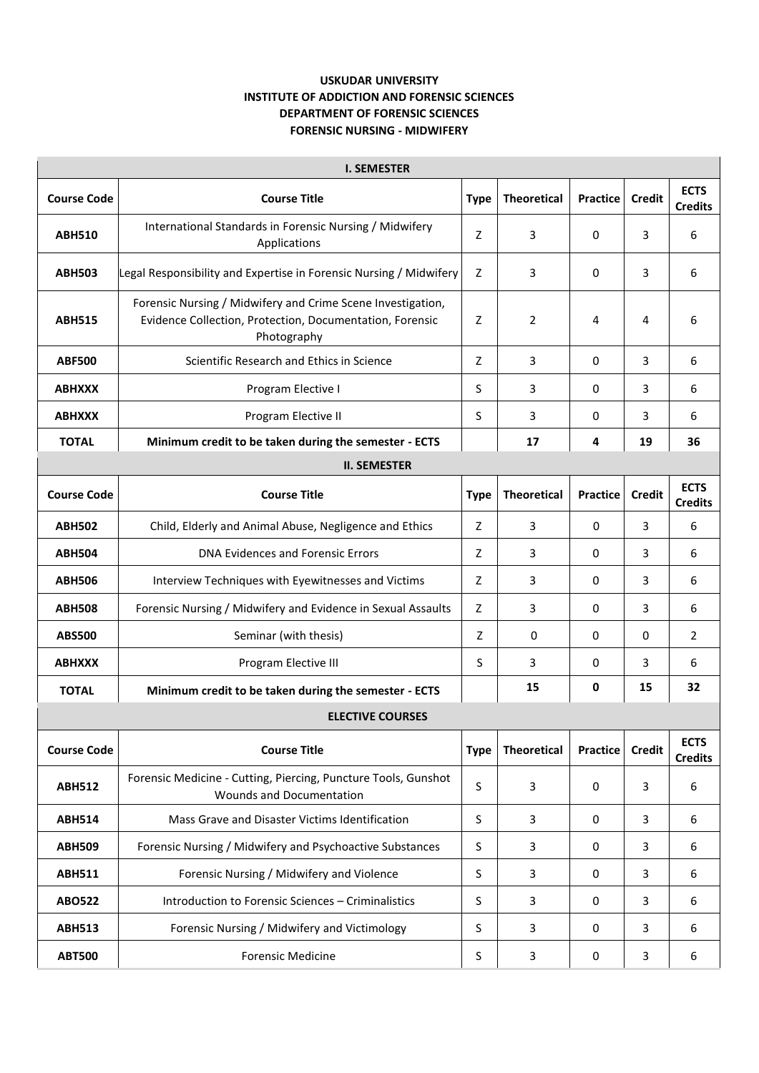## **USKUDAR UNIVERSITY INSTITUTE OF ADDICTION AND FORENSIC SCIENCES DEPARTMENT OF FORENSIC SCIENCES FORENSIC NURSING - MIDWIFERY**

| <b>I. SEMESTER</b>      |                                                                                                                                        |             |                    |                 |               |                               |  |  |  |  |
|-------------------------|----------------------------------------------------------------------------------------------------------------------------------------|-------------|--------------------|-----------------|---------------|-------------------------------|--|--|--|--|
| <b>Course Code</b>      | <b>Course Title</b>                                                                                                                    | <b>Type</b> | <b>Theoretical</b> | <b>Practice</b> | <b>Credit</b> | <b>ECTS</b><br><b>Credits</b> |  |  |  |  |
| <b>ABH510</b>           | International Standards in Forensic Nursing / Midwifery<br>Applications                                                                | Z           | 3                  | 0               | 3             | 6                             |  |  |  |  |
| <b>ABH503</b>           | Legal Responsibility and Expertise in Forensic Nursing / Midwifery                                                                     | Z           | 3                  | 0               | 3             | 6                             |  |  |  |  |
| <b>ABH515</b>           | Forensic Nursing / Midwifery and Crime Scene Investigation,<br>Evidence Collection, Protection, Documentation, Forensic<br>Photography | Z           | 2                  | 4               | 4             | 6                             |  |  |  |  |
| <b>ABF500</b>           | Scientific Research and Ethics in Science                                                                                              | Z           | 3                  | $\mathbf 0$     | 3             | 6                             |  |  |  |  |
| <b>ABHXXX</b>           | Program Elective I                                                                                                                     | S           | 3                  | 0               | 3             | 6                             |  |  |  |  |
| <b>ABHXXX</b>           | Program Elective II                                                                                                                    | S           | 3                  | $\mathbf 0$     | 3             | 6                             |  |  |  |  |
| <b>TOTAL</b>            | Minimum credit to be taken during the semester - ECTS                                                                                  |             | 17                 | 4               | 19            | 36                            |  |  |  |  |
| <b>II. SEMESTER</b>     |                                                                                                                                        |             |                    |                 |               |                               |  |  |  |  |
| <b>Course Code</b>      | <b>Course Title</b>                                                                                                                    | <b>Type</b> | <b>Theoretical</b> | <b>Practice</b> | <b>Credit</b> | <b>ECTS</b><br><b>Credits</b> |  |  |  |  |
| <b>ABH502</b>           | Child, Elderly and Animal Abuse, Negligence and Ethics                                                                                 | Z           | 3                  | 0               | 3             | 6                             |  |  |  |  |
| <b>ABH504</b>           | DNA Evidences and Forensic Errors                                                                                                      | Z           | 3                  | 0               | 3             | 6                             |  |  |  |  |
| <b>ABH506</b>           | Interview Techniques with Eyewitnesses and Victims                                                                                     | Z           | 3                  | $\mathbf 0$     | 3             | 6                             |  |  |  |  |
| <b>ABH508</b>           | Forensic Nursing / Midwifery and Evidence in Sexual Assaults                                                                           | Z           | 3                  | 0               | 3             | 6                             |  |  |  |  |
| <b>ABS500</b>           | Seminar (with thesis)                                                                                                                  | Z           | 0                  | 0               | 0             | $\overline{2}$                |  |  |  |  |
| <b>ABHXXX</b>           | Program Elective III                                                                                                                   | S           | 3                  | $\mathbf 0$     | 3             | 6                             |  |  |  |  |
| <b>TOTAL</b>            | Minimum credit to be taken during the semester - ECTS                                                                                  |             | 15                 | 0               | 15            | 32                            |  |  |  |  |
| <b>ELECTIVE COURSES</b> |                                                                                                                                        |             |                    |                 |               |                               |  |  |  |  |
| <b>Course Code</b>      | <b>Course Title</b>                                                                                                                    | <b>Type</b> | <b>Theoretical</b> | <b>Practice</b> | <b>Credit</b> | <b>ECTS</b><br><b>Credits</b> |  |  |  |  |
| <b>ABH512</b>           | Forensic Medicine - Cutting, Piercing, Puncture Tools, Gunshot<br><b>Wounds and Documentation</b>                                      | $\sf S$     | 3                  | $\mathbf 0$     | 3             | 6                             |  |  |  |  |
| <b>ABH514</b>           | Mass Grave and Disaster Victims Identification                                                                                         | $\sf S$     | 3                  | $\mathbf 0$     | 3             | 6                             |  |  |  |  |
| <b>ABH509</b>           | Forensic Nursing / Midwifery and Psychoactive Substances                                                                               | S           | 3                  | 0               | 3             | 6                             |  |  |  |  |
| <b>ABH511</b>           | Forensic Nursing / Midwifery and Violence                                                                                              | S           | 3                  | $\mathbf 0$     | 3             | 6                             |  |  |  |  |
| <b>ABO522</b>           | Introduction to Forensic Sciences - Criminalistics                                                                                     | S           | 3                  | $\mathbf 0$     | 3             | 6                             |  |  |  |  |
| <b>ABH513</b>           | Forensic Nursing / Midwifery and Victimology                                                                                           | S           | 3                  | 0               | 3             | 6                             |  |  |  |  |
| <b>ABT500</b>           | <b>Forensic Medicine</b>                                                                                                               | S           | 3                  | 0               | 3             | 6                             |  |  |  |  |